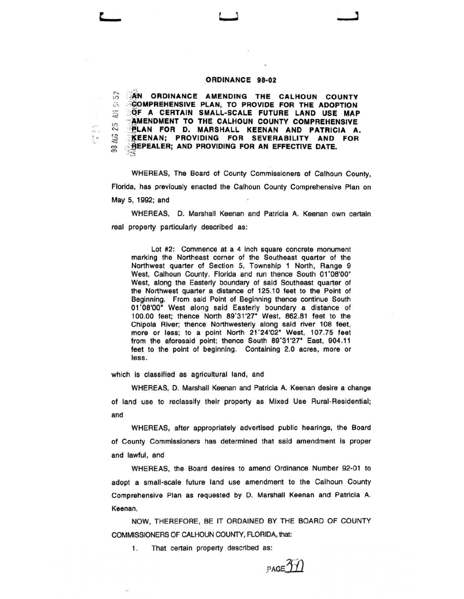## **ORDINANCE 98-02**

**EXAMPLE ORDINANCE AMENDING THE CALHOUN COUNTY**  $\therefore$  **COMPREHENSIVE PLAN, TO PROVIDE FOR THE ADOPTION** ~~ **:::QF A CERTAIN SMALL-SCALE FUTURE LAND USE MAP AMENDMENT TO THE CALHOUN COUNTY COMPREHENSIVE ELAN FOR D. MARSHALL KEENAN AND PATRICIA A.**<br> **ELAN FOR D. MARSHALL KEENAN AND PATRICIA A.**<br> **ELENAN; PROVIDING FOR SEVERABILITY AND FOR • SEPTER 19 EXTERNAL SEVERABILITY AND FOR SEVERABILITY minder; AND PROVIDING FOR AN EFFECTIVE DATE.** 

WHEREAS, The Board of County Commissioners of Calhoun County, Florida, has previously enacted the Calhoun County Comprehensive Plan on May 5, 1992; and

WHEREAS, D. Marshall Keenan and Patricia A. Keenan own certain real property particularly described as:

Lot #2: Commence at a 4 inch square concrete monument marking the Northeast corner of the Southeast quarter of the Northwest quarter of Section 5, Township 1 North, Range 9 West, Calhoun County, Florida and run thence South 01 '08'00" West, along the Easterly boundary of said Southeast quarter of the Northwest quarter a distance of 125.10 feet to the Point of Beginning. From said Point of Beginning thence continue South 01'08'00" West along said Easterly boundary a distance of 100.00 feet; thence North 89'31'27" West, 862.81 feet to the Chipola River; thence Northwesterly along said river 108 feet, more or less; to a point North 21'24'02" West, 107.75 feet from the aforesaid point; thence South 89'31'27" East, 904.11 feet to the point of beginning. Containing 2.0 acres, more or less.

which is classified as agricultural land, and

 $\frac{1}{2} \frac{1}{2}$  ).

WHEREAS, D. Marshall Keenan and Patricia A. Keenan desire a change of land use to reclassify their property as Mixed Use Rural-Residential; and

WHEREAS, after appropriately advertised public hearings, the Board of County Commissioners has determined that said amendment is proper and lawful, and

WHEREAS, the Board desires to amend Ordinance Number 92·01 to adopt a small-scale future land use amendment to the Calhoun County Comprehensive Plan as requested by 0. Marshall Keenan and Patricia A. Keenan,

NOW, THEREFORE, BE IT ORDAINED BY THE BOARD OF COUNTY COMMISSIONERS OF CALHOUN COUNTY, FLORIDA, that:

1. That certain property described as:

 $PAGE31)$